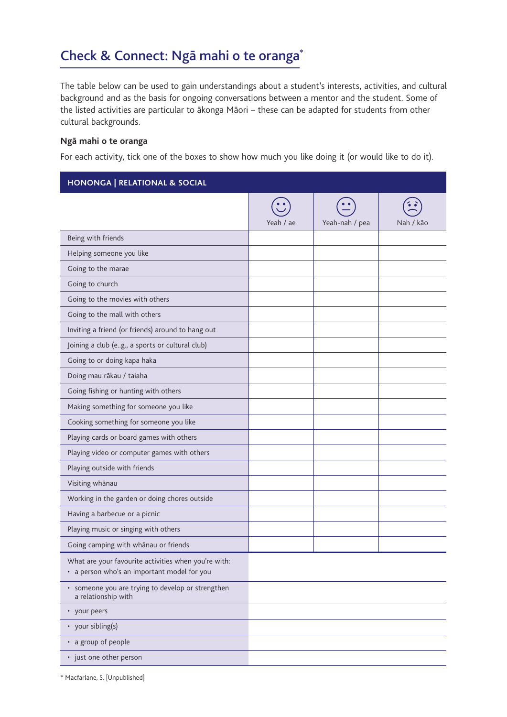## Check & Connect: Ngā mahi o te oranga\*

The table below can be used to gain understandings about a student's interests, activities, and cultural background and as the basis for ongoing conversations between a mentor and the student. Some of the listed activities are particular to ākonga Māori – these can be adapted for students from other cultural backgrounds.

## **Ngā mahi o te oranga**

For each activity, tick one of the boxes to show how much you like doing it (or would like to do it).

| <b>HONONGA   RELATIONAL &amp; SOCIAL</b>                                                            |           |                |           |
|-----------------------------------------------------------------------------------------------------|-----------|----------------|-----------|
|                                                                                                     | Yeah / ae | Yeah-nah / pea | Nah / kāo |
| Being with friends                                                                                  |           |                |           |
| Helping someone you like                                                                            |           |                |           |
| Going to the marae                                                                                  |           |                |           |
| Going to church                                                                                     |           |                |           |
| Going to the movies with others                                                                     |           |                |           |
| Going to the mall with others                                                                       |           |                |           |
| Inviting a friend (or friends) around to hang out                                                   |           |                |           |
| Joining a club (eg., a sports or cultural club)                                                     |           |                |           |
| Going to or doing kapa haka                                                                         |           |                |           |
| Doing mau rākau / taiaha                                                                            |           |                |           |
| Going fishing or hunting with others                                                                |           |                |           |
| Making something for someone you like                                                               |           |                |           |
| Cooking something for someone you like                                                              |           |                |           |
| Playing cards or board games with others                                                            |           |                |           |
| Playing video or computer games with others                                                         |           |                |           |
| Playing outside with friends                                                                        |           |                |           |
| Visiting whānau                                                                                     |           |                |           |
| Working in the garden or doing chores outside                                                       |           |                |           |
| Having a barbecue or a picnic                                                                       |           |                |           |
| Playing music or singing with others                                                                |           |                |           |
| Going camping with whānau or friends                                                                |           |                |           |
| What are your favourite activities when you're with:<br>• a person who's an important model for you |           |                |           |
| · someone you are trying to develop or strengthen<br>a relationship with                            |           |                |           |
| • your peers                                                                                        |           |                |           |
| • your sibling(s)                                                                                   |           |                |           |
| • a group of people                                                                                 |           |                |           |
| • just one other person                                                                             |           |                |           |

\* Macfarlane, S. [Unpublished]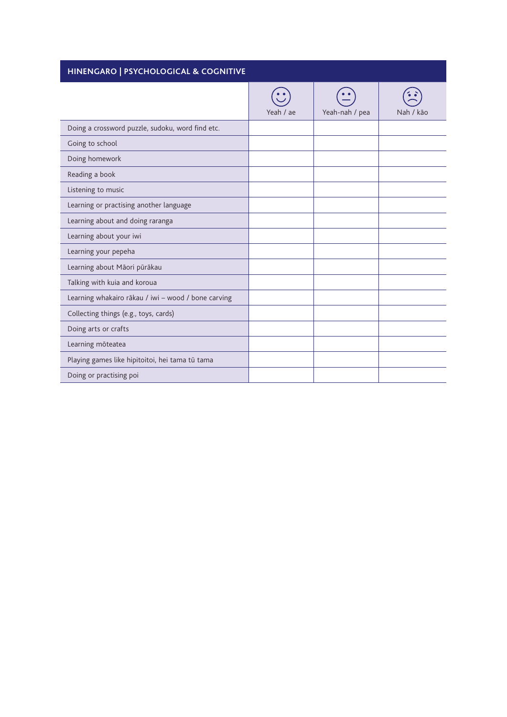| HINENGARO   PSYCHOLOGICAL & COGNITIVE               |           |                |           |  |
|-----------------------------------------------------|-----------|----------------|-----------|--|
|                                                     | Yeah / ae | Yeah-nah / pea | Nah / kão |  |
| Doing a crossword puzzle, sudoku, word find etc.    |           |                |           |  |
| Going to school                                     |           |                |           |  |
| Doing homework                                      |           |                |           |  |
| Reading a book                                      |           |                |           |  |
| Listening to music                                  |           |                |           |  |
| Learning or practising another language             |           |                |           |  |
| Learning about and doing raranga                    |           |                |           |  |
| Learning about your iwi                             |           |                |           |  |
| Learning your pepeha                                |           |                |           |  |
| Learning about Māori pūrākau                        |           |                |           |  |
| Talking with kuia and koroua                        |           |                |           |  |
| Learning whakairo rākau / iwi - wood / bone carving |           |                |           |  |
| Collecting things (e.g., toys, cards)               |           |                |           |  |
| Doing arts or crafts                                |           |                |           |  |
| Learning mōteatea                                   |           |                |           |  |
| Playing games like hipitoitoi, hei tama tū tama     |           |                |           |  |
| Doing or practising poi                             |           |                |           |  |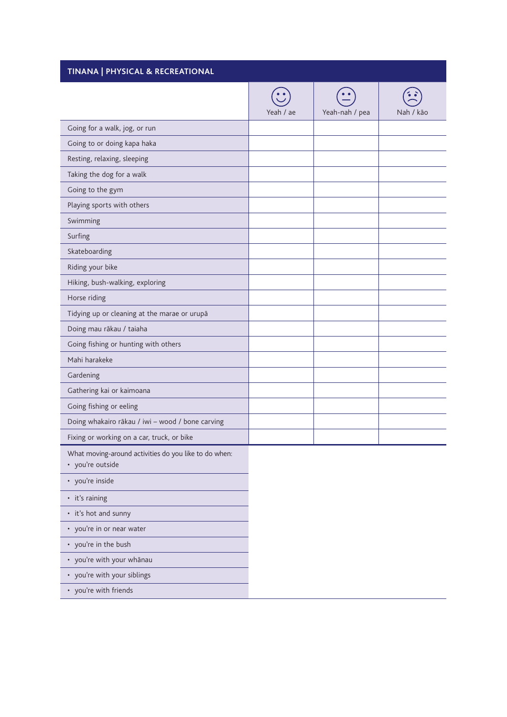| TINANA   PHYSICAL & RECREATIONAL                                          |           |                |           |
|---------------------------------------------------------------------------|-----------|----------------|-----------|
|                                                                           | Yeah / ae | Yeah-nah / pea | Nah / kão |
| Going for a walk, jog, or run                                             |           |                |           |
| Going to or doing kapa haka                                               |           |                |           |
| Resting, relaxing, sleeping                                               |           |                |           |
| Taking the dog for a walk                                                 |           |                |           |
| Going to the gym                                                          |           |                |           |
| Playing sports with others                                                |           |                |           |
| Swimming                                                                  |           |                |           |
| Surfing                                                                   |           |                |           |
| Skateboarding                                                             |           |                |           |
| Riding your bike                                                          |           |                |           |
| Hiking, bush-walking, exploring                                           |           |                |           |
| Horse riding                                                              |           |                |           |
| Tidying up or cleaning at the marae or urupā                              |           |                |           |
| Doing mau rākau / taiaha                                                  |           |                |           |
| Going fishing or hunting with others                                      |           |                |           |
| Mahi harakeke                                                             |           |                |           |
| Gardening                                                                 |           |                |           |
| Gathering kai or kaimoana                                                 |           |                |           |
| Going fishing or eeling                                                   |           |                |           |
| Doing whakairo rākau / iwi - wood / bone carving                          |           |                |           |
| Fixing or working on a car, truck, or bike                                |           |                |           |
| What moving-around activities do you like to do when:<br>• you're outside |           |                |           |
| • you're inside                                                           |           |                |           |
| • it's raining                                                            |           |                |           |
| • it's hot and sunny                                                      |           |                |           |
| • you're in or near water                                                 |           |                |           |
| • you're in the bush                                                      |           |                |           |
| • you're with your whānau                                                 |           |                |           |
| • you're with your siblings                                               |           |                |           |
| • you're with friends                                                     |           |                |           |